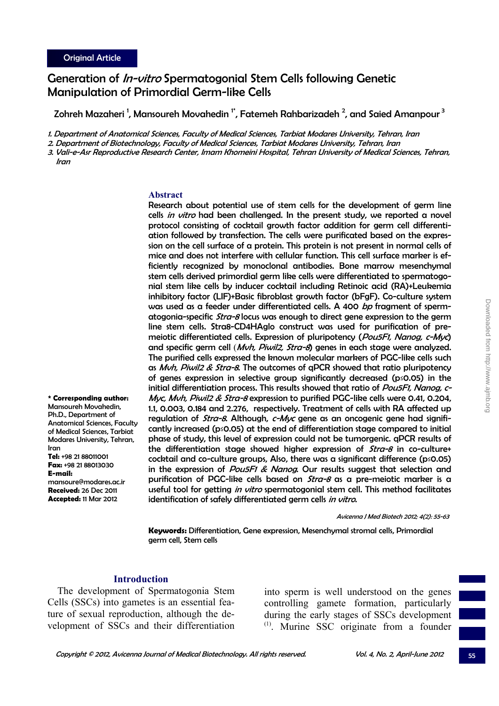**\* Corresponding author:**  Mansoureh Movahedin, Ph.D., Department of Anatomical Sciences, Faculty of Medical Sciences, Tarbiat Modares University, Tehran,

**Tel:** +98 21 88011001 **Fax:** +98 21 88013030

mansoure@modares.ac.ir **Received:** 26 Dec 2011 **Accepted:** 11 Mar 2012

Iran

**E-mail:**

# Generation of *In-vitro* Spermatogonial Stem Cells following Genetic Manipulation of Primordial Germ-like Cells

Zohreh Mazaheri <sup>1</sup>, Mansoureh Movahedin <sup>1</sup>°, Fatemeh Rahbarizadeh <sup>2</sup>, and Saied Amanpour <sup>3</sup>

1. Department of Anatomical Sciences, Faculty of Medical Sciences, Tarbiat Modares University, Tehran, Iran

2. Department of Biotechnology, Faculty of Medical Sciences, Tarbiat Modares University, Tehran, Iran

3. Vali-e-Asr Reproductive Research Center, Imam Khomeini Hospital, Tehran University of Medical Sciences, Tehran, Iran

#### **Abstract**

Research about potential use of stem cells for the development of germ line cells in vitro had been challenged. In the present study, we reported a novel protocol consisting of cocktail growth factor addition for germ cell differentiation followed by transfection. The cells were purificated based on the expression on the cell surface of a protein. This protein is not present in normal cells of mice and does not interfere with cellular function. This cell surface marker is efficiently recognized by monoclonal antibodies. Bone marrow mesenchymal stem cells derived primordial germ like cells were differentiated to spermatogonial stem like cells by inducer cocktail including Retinoic acid (RA)+Leukemia inhibitory factor (LIF)+Basic fibroblast growth factor (bFgF). Co-culture system was used as a feeder under differentiated cells. A 400 bp fragment of spermatogonia-specific *Stra-8* locus was enough to direct gene expression to the germ line stem cells. Stra8-CD4HAglo construct was used for purification of premeiotic differentiated cells. Expression of pluripotency (Pou5F1, Nanog, c-Myc) and specific germ cell (*Myh. Piwil2, Stra-8*) genes in each stage were analyzed. The purified cells expressed the known molecular markers of PGC-like cells such as Muh, Piwil2 & Stra-8. The outcomes of qPCR showed that ratio pluripotency of genes expression in selective group significantly decreased (p≤0.05) in the initial differentiation process. This results showed that ratio of *Pou5F1, Nanog, c-*Myc, Mvh, Piwil2 & Stra-8 expression to purified PGC-like cells were 0.41, 0.204, 1.1, 0.003, 0.184 and 2.276, respectively. Treatment of cells with RA affected up regulation of *Stra-8*. Although, c-Myc gene as an oncogenic gene had significantly increased (p≤0.05) at the end of differentiation stage compared to initial phase of study, this level of expression could not be tumorgenic. qPCR results of the differentiation stage showed higher expression of  $Stra-8$  in co-culture+ cocktail and co-culture groups, Also, there was a significant difference ( $p \le 0.05$ ) in the expression of Pou5F1 & Nanog. Our results suggest that selection and purification of PGC-like cells based on  $\mathit{Stra-8}$  as a pre-meiotic marker is a useful tool for getting in vitro spermatogonial stem cell. This method facilitates identification of safely differentiated germ cells in vitro.

Avicenna J Med Biotech 2012; 4(2): 55-63

**Keywords:** Differentiation, Gene expression, Mesenchymal stromal cells, Primordial germ cell, Stem cells

#### **Introduction**

The development of Spermatogonia Stem Cells (SSCs) into gametes is an essential feature of sexual reproduction, although the development of SSCs and their differentiation

into sperm is well understood on the genes controlling gamete formation, particularly during the early stages of SSCs development  $<sup>(1)</sup>$ . Murine SSC originate from a founder</sup>

55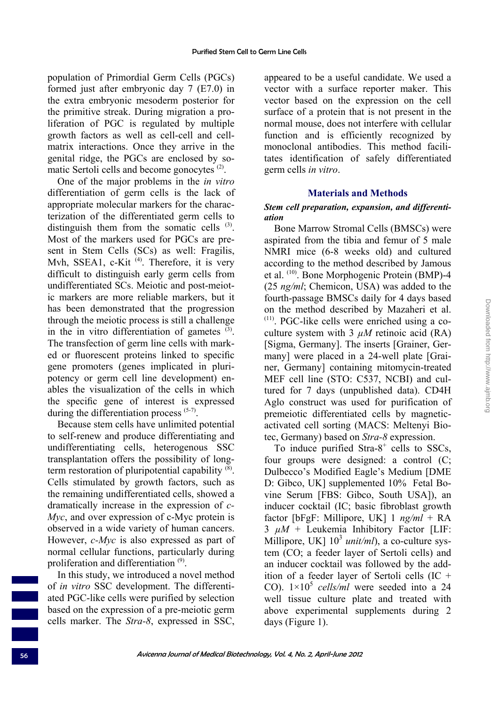population of Primordial Germ Cells (PGCs) formed just after embryonic day 7 (E7.0) in the extra embryonic mesoderm posterior for the primitive streak. During migration a proliferation of PGC is regulated by multiple growth factors as well as cell-cell and cellmatrix interactions. Once they arrive in the genital ridge, the PGCs are enclosed by somatic Sertoli cells and become gonocytes  $(2)$ .

One of the major problems in the *in vitro* differentiation of germ cells is the lack of appropriate molecular markers for the characterization of the differentiated germ cells to distinguish them from the somatic cells  $(3)$ . Most of the markers used for PGCs are present in Stem Cells (SCs) as well: Fragilis, Mvh, SSEA1, c-Kit<sup> $(4)$ </sup>. Therefore, it is very difficult to distinguish early germ cells from undifferentiated SCs. Meiotic and post-meiotic markers are more reliable markers, but it has been demonstrated that the progression through the meiotic process is still a challenge in the in vitro differentiation of gametes  $(3)$ . The transfection of germ line cells with marked or fluorescent proteins linked to specific gene promoters (genes implicated in pluripotency or germ cell line development) enables the visualization of the cells in which the specific gene of interest is expressed during the differentiation process  $(5-7)$ .

Because stem cells have unlimited potential to self-renew and produce differentiating and undifferentiating cells, heterogenous SSC transplantation offers the possibility of longterm restoration of pluripotential capability (8). Cells stimulated by growth factors, such as the remaining undifferentiated cells, showed a dramatically increase in the expression of *c-Myc*, and over expression of c-Myc protein is observed in a wide variety of human cancers. However, *c-Myc* is also expressed as part of normal cellular functions, particularly during proliferation and differentiation (9).

In this study, we introduced a novel method of *in vitro* SSC development. The differentiated PGC-like cells were purified by selection based on the expression of a pre-meiotic germ cells marker. The *Stra-8*, expressed in SSC,

appeared to be a useful candidate. We used a vector with a surface reporter maker. This vector based on the expression on the cell surface of a protein that is not present in the normal mouse, does not interfere with cellular function and is efficiently recognized by monoclonal antibodies. This method facilitates identification of safely differentiated germ cells *in vitro*.

## **Materials and Methods**

## *Stem cell preparation, expansion, and differentiation*

Bone Marrow Stromal Cells (BMSCs) were aspirated from the tibia and femur of 5 male NMRI mice (6-8 weeks old) and cultured according to the method described by Jamous et al. (10). Bone Morphogenic Protein (BMP)-4 (25 *ng/ml*; Chemicon, USA) was added to the fourth-passage BMSCs daily for 4 days based on the method described by Mazaheri et al.  $(11)$ . PGC-like cells were enriched using a coculture system with 3  $\mu$ M retinoic acid (RA) [Sigma, Germany]. The inserts [Grainer, Germany] were placed in a 24-well plate [Grainer, Germany] containing mitomycin-treated MEF cell line (STO: C537, NCBI) and cultured for 7 days (unpublished data). CD4H Aglo construct was used for purification of premeiotic differentiated cells by magneticactivated cell sorting (MACS: Meltenyi Biotec, Germany) based on *Stra-8* expression.

To induce purified  $Stra-8^+$  cells to SSCs, four groups were designed: a control (C; Dulbecco's Modified Eagle's Medium [DME D: Gibco, UK] supplemented 10% Fetal Bovine Serum [FBS: Gibco, South USA]), an inducer cocktail (IC; basic fibroblast growth factor [bFgF: Millipore, UK] 1 *ng/ml* + RA 3 *µM* + Leukemia Inhibitory Factor [LIF: Millipore, UK]  $10^3$  *unit/ml*), a co-culture system (CO; a feeder layer of Sertoli cells) and an inducer cocktail was followed by the addition of a feeder layer of Sertoli cells (IC + CO).  $1\times10^5$  *cells/ml* were seeded into a 24 well tissue culture plate and treated with above experimental supplements during 2 days (Figure 1).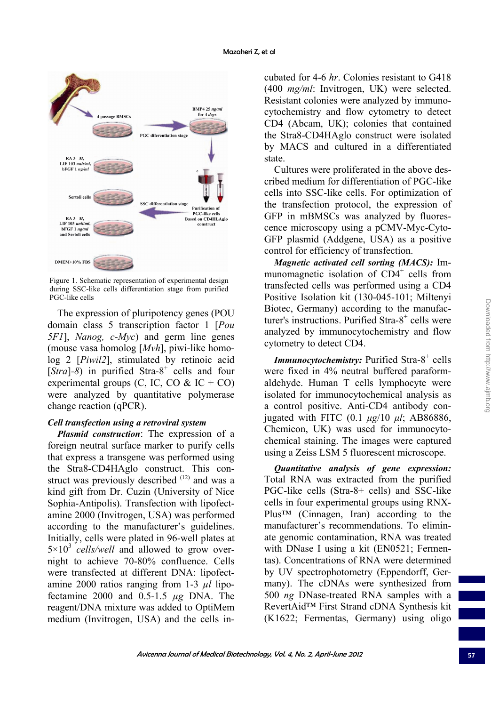

Figure 1. Schematic representation of experimental design during SSC-like cells differentiation stage from purified PGC-like cells

The expression of pluripotency genes (POU domain class 5 transcription factor 1 [*Pou 5F1*], *Nanog, c-Myc*) and germ line genes (mouse vasa homolog [*Mvh*], piwi-like homolog 2 [*Piwil2*], stimulated by retinoic acid  $[Stra]$ -8) in purified Stra-8<sup>+</sup> cells and four experimental groups  $(C, IC, CO \& IC + CO)$ were analyzed by quantitative polymerase change reaction (qPCR).

## *Cell transfection using a retroviral system*

*Plasmid construction*: The expression of a foreign neutral surface marker to purify cells that express a transgene was performed using the Stra8-CD4HAglo construct. This construct was previously described <sup>(12)</sup> and was a kind gift from Dr. Cuzin (University of Nice Sophia-Antipolis). Transfection with lipofectamine 2000 (Invitrogen, USA) was performed according to the manufacturer's guidelines. Initially, cells were plated in 96-well plates at  $5 \times 10^3$  *cells/well* and allowed to grow overnight to achieve 70-80% confluence. Cells were transfected at different DNA: lipofectamine 2000 ratios ranging from 1-3 *µl* lipofectamine 2000 and 0.5-1.5 *µg* DNA. The reagent/DNA mixture was added to OptiMem medium (Invitrogen, USA) and the cells incubated for 4-6 *hr*. Colonies resistant to G418 (400 *mg/ml*: Invitrogen, UK) were selected. Resistant colonies were analyzed by immunocytochemistry and flow cytometry to detect CD4 (Abcam, UK); colonies that contained the Stra8-CD4HAglo construct were isolated by MACS and cultured in a differentiated state.

Cultures were proliferated in the above described medium for differentiation of PGC-like cells into SSC-like cells. For optimization of the transfection protocol, the expression of GFP in mBMSCs was analyzed by fluorescence microscopy using a pCMV-Myc-Cyto-GFP plasmid (Addgene, USA) as a positive control for efficiency of transfection.

*Magnetic activated cell sorting (MACS):* Immunomagnetic isolation of CD4<sup>+</sup> cells from transfected cells was performed using a CD4 Positive Isolation kit (130-045-101; Miltenyi Biotec, Germany) according to the manufacturer's instructions. Purified Stra-8<sup>+</sup> cells were analyzed by immunocytochemistry and flow cytometry to detect CD4.

Immunocytochemistry: Purified Stra-8<sup>+</sup> cells were fixed in 4% neutral buffered paraformaldehyde. Human T cells lymphocyte were isolated for immunocytochemical analysis as a control positive. Anti-CD4 antibody conjugated with FITC (0.1 *μg*/10 *μl*; AB86886, Chemicon, UK) was used for immunocytochemical staining. The images were captured using a Zeiss LSM 5 fluorescent microscope.

*Quantitative analysis of gene expression:*  Total RNA was extracted from the purified PGC-like cells (Stra-8+ cells) and SSC-like cells in four experimental groups using RNX-Plus™ (Cinnagen, Iran) according to the manufacturer's recommendations. To eliminate genomic contamination, RNA was treated with DNase I using a kit (EN0521; Fermentas). Concentrations of RNA were determined by UV spectrophotometry (Eppendorff, Germany). The cDNAs were synthesized from 500 *ng* DNase-treated RNA samples with a RevertAid™ First Strand cDNA Synthesis kit (K1622; Fermentas, Germany) using oligo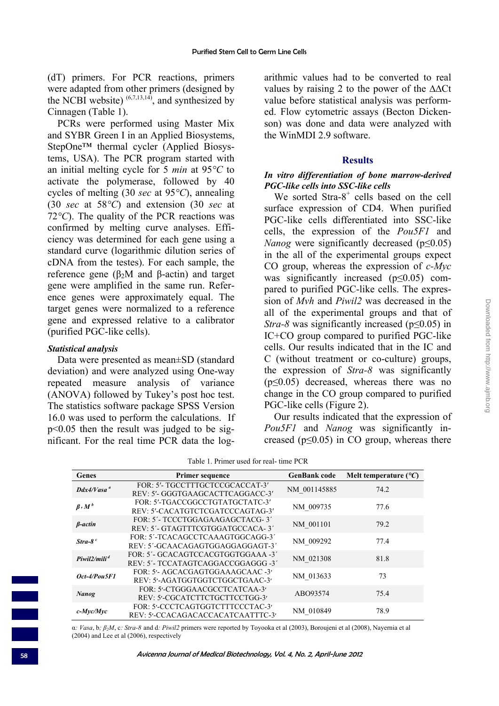(dT) primers. For PCR reactions, primers were adapted from other primers (designed by the NCBI website)  $(6,7,13,14)$ , and synthesized by Cinnagen (Table 1).

PCRs were performed using Master Mix and SYBR Green I in an Applied Biosystems, StepOne™ thermal cycler (Applied Biosystems, USA). The PCR program started with an initial melting cycle for 5 *min* at 95*°C* to activate the polymerase, followed by 40 cycles of melting (30 *sec* at 95*°C*), annealing (30 *sec* at 58*°C*) and extension (30 *sec* at 72*°C*). The quality of the PCR reactions was confirmed by melting curve analyses. Efficiency was determined for each gene using a standard curve (logarithmic dilution series of cDNA from the testes). For each sample, the reference gene ( $β<sub>2</sub>M$  and  $β$ -actin) and target gene were amplified in the same run. Reference genes were approximately equal. The target genes were normalized to a reference gene and expressed relative to a calibrator (purified PGC-like cells).

#### *Statistical analysis*

Data were presented as mean±SD (standard deviation) and were analyzed using One-way repeated measure analysis of variance (ANOVA) followed by Tukey's post hoc test. The statistics software package SPSS Version 16.0 was used to perform the calculations. If p<0.05 then the result was judged to be significant. For the real time PCR data the logarithmic values had to be converted to real values by raising 2 to the power of the ∆∆Ct value before statistical analysis was performed. Flow cytometric assays (Becton Dickenson) was done and data were analyzed with the WinMDI 2.9 software.

#### **Results**

## *In vitro differentiation of bone marrow-derived PGC-like cells into SSC-like cells*

We sorted Stra-8<sup>+</sup> cells based on the cell surface expression of CD4. When purified PGC-like cells differentiated into SSC-like cells, the expression of the *Pou5F1* and *Nanog* were significantly decreased (p<0.05) in the all of the experimental groups expect CO group, whereas the expression of *c-Myc* was significantly increased ( $p \le 0.05$ ) compared to purified PGC-like cells. The expression of *Mvh* and *Piwil2* was decreased in the all of the experimental groups and that of *Stra-8* was significantly increased (p≤0.05) in IC+CO group compared to purified PGC-like cells. Our results indicated that in the IC and C (without treatment or co-culture) groups, the expression of *Stra-8* was significantly (p≤0.05) decreased, whereas there was no change in the CO group compared to purified PGC-like cells (Figure 2).

Our results indicated that the expression of *Pou5F1* and *Nanog* was significantly increased (p≤0.05) in CO group, whereas there

| Table 1. Primer used for real-time PCR |  |  |  |
|----------------------------------------|--|--|--|
|----------------------------------------|--|--|--|

| Genes                        | <b>Primer sequence</b>                                                   | <b>GenBank</b> code | Melt temperature $(^{\circ}C)$ |
|------------------------------|--------------------------------------------------------------------------|---------------------|--------------------------------|
| $Ddx4/Vasa^a$                | FOR: 5'- TGCCTTTGCTCCGCACCAT-3'<br>REV: 5'- GGGTGAAGCACTTCAGGACC-3'      | NM 001145885        | 74.2                           |
| $\beta$ , $M^b$              | FOR: 5'-TGACCGGCCTGTATGCTATC-3'<br>REV: 5'-CACATGTCTCGATCCCAGTAG-3'      | NM 009735           | 77.6                           |
| $β-actin$                    | FOR: 5'- TCCCTGGAGAAGAGCTACG-3'<br>REV: 5'- GTAGTTTCGTGGATGCCACA-3'      | NM 001101           | 79.2                           |
| $Strab^c$                    | FOR: 5'-TCACAGCCTCAAAGTGGCAGG-3'<br>REV: 5'-GCAACAGAGTGGAGGAGGAGT-3'     | NM 009292           | 77.4                           |
| Piwil $2/m$ ili <sup>d</sup> | FOR: 5'- GCACAGTCCACGTGGTGGAAA -3'<br>REV: 5'- TCCATAGTCAGGACCGGAGGG -3' | NM 021308           | 81.8                           |
| Oct-4/Pou5F1                 | FOR: 5'- AGCACGAGTGGAAAGCAAC -3'<br>REV: 5'-AGATGGTGGTCTGGCTGAAC-3'      | NM 013633           | 73                             |
| Nanog                        | FOR: 5'-CTGGGAACGCCTCATCAA-3'<br>REV: 5'-CGCATCTTCTGCTTCCTGG-3'          | ABO93574            | 75.4                           |
| $c$ - <i>Myc/Myc</i>         | FOR: 5'-CCCTCAGTGGTCTTTCCCTAC-3'<br>REV: 5'-CCACAGACACCACATCAATTTC-3'    | NM 010849           | 78.9                           |

α*: Vasa*, b*; β2M*, c*: Stra-8* and d*: Piwil2* primers were reported by Toyooka et al (2003), Boroujeni et al (2008), Nayernia et al (2004) and Lee et al (2006), respectively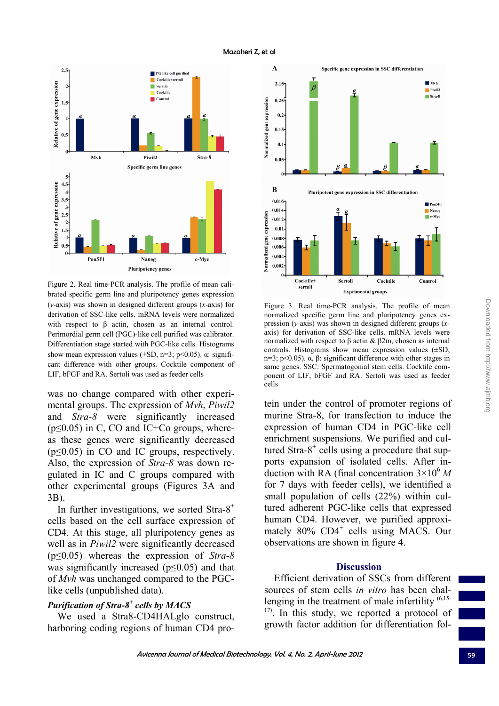

Figure 2. Real time-PCR analysis. The profile of mean calibrated specific germ line and pluripotency genes expression (*y*-axis) was shown in designed different groups (*x*-axis) for derivation of SSC-like cells. mRNA levels were normalized with respect to  $\beta$  actin, chosen as an internal control. Perimordial germ cell (PGC)-like cell purified was calibrator. Differentiation stage started with PGC-like cells. Histograms show mean expression values ( $\pm SD$ , n=3; p<0.05).  $\alpha$ : significant difference with other groups. Cocktile component of LIF, bFGF and RA. Sertoli was used as feeder cells

was no change compared with other experimental groups. The expression of *Mvh*, *Piwil2* and *Stra-8* were significantly increased  $(p \leq 0.05)$  in C, CO and IC+Co groups, whereas these genes were significantly decreased  $(p \leq 0.05)$  in CO and IC groups, respectively. Also, the expression of *Stra-8* was down regulated in IC and C groups compared with other experimental groups (Figures 3A and 3B).

In further investigations, we sorted  $Stra-8^+$ cells based on the cell surface expression of CD4. At this stage, all pluripotency genes as well as in *Piwil2* were significantly decreased (p≤0.05) whereas the expression of *Stra-8* was significantly increased ( $p \le 0.05$ ) and that of *Mvh* was unchanged compared to the PGClike cells (unpublished data).

# *Purification of Stra-8<sup>+</sup> cells by MACS*

We used a Stra8-CD4HALglo construct, harboring coding regions of human CD4 pro-



Figure 3. Real time-PCR analysis. The profile of mean normalized specific germ line and pluripotency genes expression (*y*-axis) was shown in designed different groups (*x*axis) for derivation of SSC-like cells. mRNA levels were normalized with respect to β actin & β2m, chosen as internal controls. Histograms show mean expression values (±SD, n=3; p<0.05). α, β: significant difference with other stages in same genes. SSC: Spermatogonial stem cells. Cocktile component of LIF, bFGF and RA. Sertoli was used as feeder cells

tein under the control of promoter regions of murine Stra-8, for transfection to induce the expression of human CD4 in PGC-like cell enrichment suspensions. We purified and cultured Stra-8 $+$  cells using a procedure that supports expansion of isolated cells. After induction with RA (final concentration  $3\times10^6$  M) for 7 days with feeder cells), we identified a small population of cells (22%) within cultured adherent PGC-like cells that expressed human CD4. However, we purified approximately 80% CD4<sup>+</sup> cells using MACS. Our observations are shown in figure 4.

#### **Discussion**

Efficient derivation of SSCs from different sources of stem cells *in vitro* has been challenging in the treatment of male infertility  $(6,15-)$  $17$ ). In this study, we reported a protocol of growth factor addition for differentiation fol-

Mazaheri Z, et al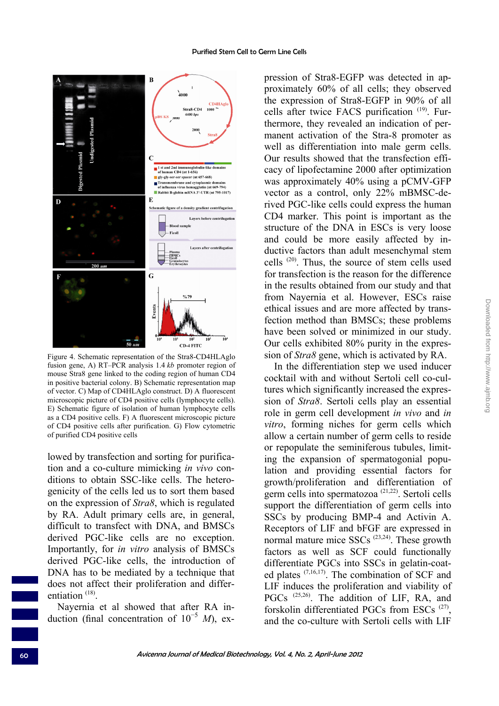

Figure 4. Schematic representation of the Stra8-CD4HLAglo fusion gene, A) RT–PCR analysis 1.4 *kb* promoter region of mouse Stra8 gene linked to the coding region of human CD4 in positive bacterial colony. B) Schematic representation map of vector. C) Map of CD4HLAglo construct. D) A fluorescent microscopic picture of CD4 positive cells (lymphocyte cells). E) Schematic figure of isolation of human lymphocyte cells as a CD4 positive cells. F) A fluorescent microscopic picture of CD4 positive cells after purification. G) Flow cytometric of purified CD4 positive cells

lowed by transfection and sorting for purification and a co-culture mimicking *in vivo* conditions to obtain SSC-like cells. The heterogenicity of the cells led us to sort them based on the expression of *Stra8*, which is regulated by RA. Adult primary cells are, in general, difficult to transfect with DNA, and BMSCs derived PGC-like cells are no exception. Importantly, for *in vitro* analysis of BMSCs derived PGC-like cells, the introduction of DNA has to be mediated by a technique that does not affect their proliferation and differentiation<sup>(18)</sup>

Nayernia et al showed that after RA induction (final concentration of 10<sup>−</sup><sup>5</sup> *M*), expression of Stra8-EGFP was detected in approximately 60% of all cells; they observed the expression of Stra8-EGFP in 90% of all cells after twice FACS purification  $(19)$ . Furthermore, they revealed an indication of permanent activation of the Stra-8 promoter as well as differentiation into male germ cells. Our results showed that the transfection efficacy of lipofectamine 2000 after optimization was approximately 40% using a pCMV-GFP vector as a control, only 22% mBMSC-derived PGC-like cells could express the human CD4 marker. This point is important as the structure of the DNA in ESCs is very loose and could be more easily affected by inductive factors than adult mesenchymal stem cells (20). Thus, the source of stem cells used for transfection is the reason for the difference in the results obtained from our study and that from Nayernia et al. However, ESCs raise ethical issues and are more affected by transfection method than BMSCs; these problems have been solved or minimized in our study. Our cells exhibited 80% purity in the expression of *Stra8* gene, which is activated by RA.

In the differentiation step we used inducer cocktail with and without Sertoli cell co-cultures which significantly increased the expression of *Stra8*. Sertoli cells play an essential role in germ cell development *in vivo* and *in vitro*, forming niches for germ cells which allow a certain number of germ cells to reside or repopulate the seminiferous tubules, limiting the expansion of spermatogonial population and providing essential factors for growth/proliferation and differentiation of germ cells into spermatozoa (21,22). Sertoli cells support the differentiation of germ cells into SSCs by producing BMP-4 and Activin A. Receptors of LIF and bFGF are expressed in normal mature mice SSCs  $(23,24)$ . These growth factors as well as SCF could functionally differentiate PGCs into SSCs in gelatin-coated plates (7,16,17). The combination of SCF and LIF induces the proliferation and viability of PGCs<sup>(25,26)</sup>. The addition of LIF, RA, and forskolin differentiated PGCs from ESCs (27), and the co-culture with Sertoli cells with LIF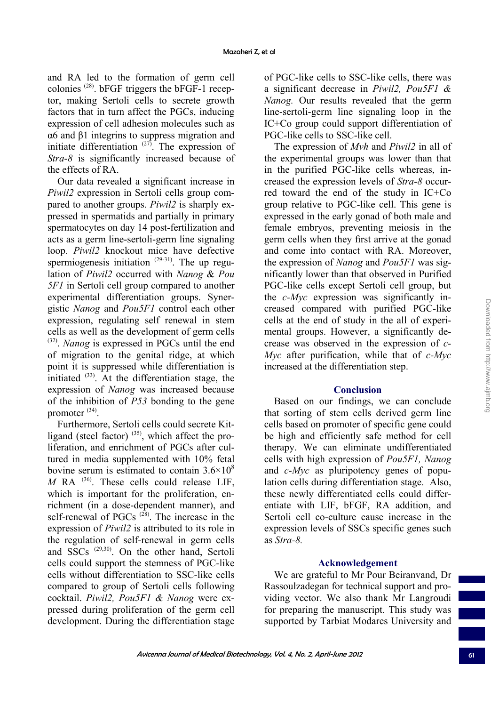and RA led to the formation of germ cell colonies  $(28)$ . bFGF triggers the bFGF-1 receptor, making Sertoli cells to secrete growth factors that in turn affect the PGCs, inducing expression of cell adhesion molecules such as α6 and β1 integrins to suppress migration and initiate differentiation  $(27)$ . The expression of *Stra-8* is significantly increased because of the effects of RA.

Our data revealed a significant increase in *Piwil2* expression in Sertoli cells group compared to another groups. *Piwil2* is sharply expressed in spermatids and partially in primary spermatocytes on day 14 post-fertilization and acts as a germ line-sertoli-germ line signaling loop. *Piwil2* knockout mice have defective spermiogenesis initiation  $(29-31)$ . The up regulation of *Piwil2* occurred with *Nanog* & *Pou 5F1* in Sertoli cell group compared to another experimental differentiation groups. Synergistic *Nanog* and *Pou5F1* control each other expression, regulating self renewal in stem cells as well as the development of germ cells (32). *Nanog* is expressed in PGCs until the end of migration to the genital ridge, at which point it is suppressed while differentiation is initiated  $(33)$ . At the differentiation stage, the expression of *Nanog* was increased because of the inhibition of *P53* bonding to the gene promoter (34).

Furthermore, Sertoli cells could secrete Kitligand (steel factor)  $(35)$ , which affect the proliferation, and enrichment of PGCs after cultured in media supplemented with 10% fetal bovine serum is estimated to contain  $3.6\times10^8$  $M$  RA  $^{(36)}$ . These cells could release LIF, which is important for the proliferation, enrichment (in a dose-dependent manner), and self-renewal of PGCs  $(28)$ . The increase in the expression of *Piwil2* is attributed to its role in the regulation of self-renewal in germ cells and SSCs (29,30). On the other hand, Sertoli cells could support the stemness of PGC-like cells without differentiation to SSC-like cells compared to group of Sertoli cells following cocktail. *Piwil2, Pou5F1 & Nanog* were expressed during proliferation of the germ cell development. During the differentiation stage

of PGC-like cells to SSC-like cells, there was a significant decrease in *Piwil2, Pou5F1 & Nanog.* Our results revealed that the germ line-sertoli-germ line signaling loop in the IC+Co group could support differentiation of PGC-like cells to SSC-like cell.

The expression of *Mvh* and *Piwil2* in all of the experimental groups was lower than that in the purified PGC-like cells whereas, increased the expression levels of *Stra-8* occurred toward the end of the study in IC+Co group relative to PGC-like cell. This gene is expressed in the early gonad of both male and female embryos, preventing meiosis in the germ cells when they first arrive at the gonad and come into contact with RA. Moreover, the expression of *Nanog* and *Pou5F1* was significantly lower than that observed in Purified PGC-like cells except Sertoli cell group, but the *c-Myc* expression was significantly increased compared with purified PGC-like cells at the end of study in the all of experimental groups. However, a significantly decrease was observed in the expression of *c-Myc* after purification, while that of *c-Myc* increased at the differentiation step.

## **Conclusion**

Based on our findings, we can conclude that sorting of stem cells derived germ line cells based on promoter of specific gene could be high and efficiently safe method for cell therapy. We can eliminate undifferentiated cells with high expression of *Pou5F1, Nanog* and *c-Myc* as pluripotency genes of population cells during differentiation stage. Also, these newly differentiated cells could differentiate with LIF, bFGF, RA addition, and Sertoli cell co-culture cause increase in the expression levels of SSCs specific genes such as *Stra-8.*

## **Acknowledgement**

We are grateful to Mr Pour Beiranvand, Dr Rassoulzadegan for technical support and providing vector. We also thank Mr Langroudi for preparing the manuscript. This study was supported by Tarbiat Modares University and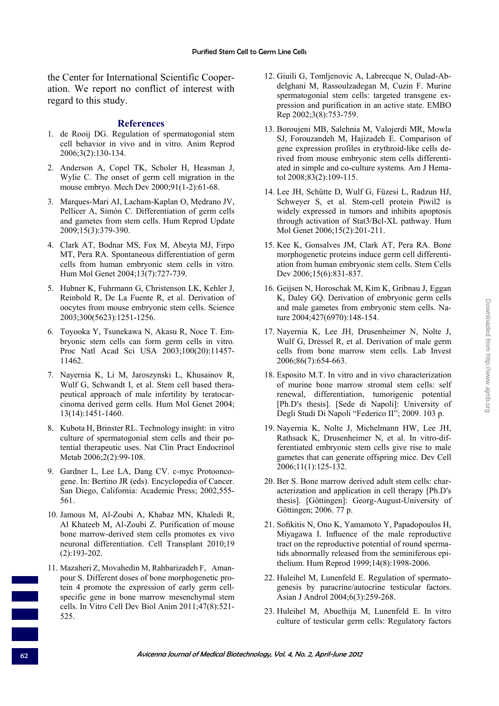the Center for International Scientific Cooperation. We report no conflict of interest with regard to this study.

#### **References**

- 1. de Rooij DG. Regulation of spermatogonial stem cell behavior in vivo and in vitro. Anim Reprod 2006;3(2):130-134.
- 2. Anderson A, Copel TK, Scholer H, Heasman J, Wylie C. The onset of germ cell migration in the mouse embryo. Mech Dev 2000;91(1-2):61-68.
- 3. Marques-Mari AI, Lacham-Kaplan O, Medrano JV, Pellicer A, Simón C. Differentiation of germ cells and gametes from stem cells. Hum Reprod Update 2009;15(3):379-390.
- 4. Clark AT, Bodnar MS, Fox M, Abeyta MJ, Firpo MT, Pera RA. Spontaneous differentiation of germ cells from human embryonic stem cells in vitro. Hum Mol Genet 2004;13(7):727-739.
- 5. Hubner K, Fuhrmann G, Christenson LK, Kehler J, Reinbold R, De La Fuente R, et al. Derivation of oocytes from mouse embryonic stem cells. Science 2003;300(5623):1251-1256.
- 6. Toyooka Y, Tsunekawa N, Akasu R, Noce T. Embryonic stem cells can form germ cells in vitro. Proc Natl Acad Sci USA 2003;100(20):11457- 11462.
- 7. Nayernia K, Li M, Jaroszynski L, Khusainov R, Wulf G, Schwandt I, et al. Stem cell based therapeutical approach of male infertility by teratocarcinoma derived germ cells. Hum Mol Genet 2004; 13(14):1451-1460.
- 8. Kubota H, Brinster RL. Technology insight: in vitro culture of spermatogonial stem cells and their potential therapeutic uses. Nat Clin Pract Endocrinol Metab 2006;2(2):99-108.
- 9. Gardner L, Lee LA, Dang CV. c-myc Protooncogene. In: Bertino JR (eds). Encyclopedia of Cancer. San Diego, California: Academic Press; 2002,555- 561.
- 10. Jamous M, Al-Zoubi A, Khabaz MN, Khaledi R, Al Khateeb M, Al-Zoubi Z. Purification of mouse bone marrow-derived stem cells promotes ex vivo neuronal differentiation. Cell Transplant 2010;19 (2):193-202.
- 11. Mazaheri Z, Movahedin M, Rahbarizadeh F, Amanpour S. Different doses of bone morphogenetic protein 4 promote the expression of early germ cellspecific gene in bone marrow mesenchymal stem cells. In Vitro Cell Dev Biol Anim 2011;47(8):521- 525.
- 12. Giuili G, Tomljenovic A, Labrecque N, Oulad-Abdelghani M, Rassoulzadegan M, Cuzin F. Murine spermatogonial stem cells: targeted transgene expression and purification in an active state. EMBO Rep 2002;3(8):753-759.
- 13. Boroujeni MB, Salehnia M, Valojerdi MR, Mowla SJ, Forouzandeh M, Hajizadeh E. Comparison of gene expression profiles in erythroid-like cells derived from mouse embryonic stem cells differentiated in simple and co-culture systems. Am J Hematol 2008;83(2):109-115.
- 14. Lee JH, Schütte D, Wulf G, Füzesi L, Radzun HJ, Schweyer S, et al. Stem-cell protein Piwil2 is widely expressed in tumors and inhibits apoptosis through activation of Stat3/Bcl-XL pathway. Hum Mol Genet 2006;15(2):201-211.
- 15. Kee K, Gonsalves JM, Clark AT, Pera RA. Bone morphogenetic proteins induce germ cell differentiation from human embryonic stem cells. Stem Cells Dev 2006;15(6):831-837.
- 16. Geijsen N, Horoschak M, Kim K, Gribnau J, Eggan K, Daley GQ. Derivation of embryonic germ cells and male gametes from embryonic stem cells. Nature 2004;427(6970):148-154.
- 17. Nayernia K, Lee JH, Drusenheimer N, Nolte J, Wulf G, Dressel R, et al. Derivation of male germ cells from bone marrow stem cells. Lab Invest 2006;86(7):654-663.
- 18. Esposito M.T. In vitro and in vivo characterization of murine bone marrow stromal stem cells: self renewal, differentiation, tumorigenic potential [Ph.D's thesis]. [Sede di Napoli]: University of Degli Studi Di Napoli "Federico II"; 2009. 103 p.
- 19. Nayernia K, Nolte J, Michelmann HW, Lee JH, Rathsack K, Drusenheimer N, et al. In vitro-differentiated embryonic stem cells give rise to male gametes that can generate offspring mice. Dev Cell 2006;11(1):125-132.
- 20. Ber S. Bone marrow derived adult stem cells: characterization and application in cell therapy [Ph.D′s thesis]. [Göttingen]: Georg-August-University of Göttingen; 2006. 77 p.
- 21. Sofikitis N, Ono K, Yamamoto Y, Papadopoulos H, Miyagawa I. Influence of the male reproductive tract on the reproductive potential of round spermatids abnormally released from the seminiferous epithelium. Hum Reprod 1999;14(8):1998-2006.
- 22. Huleihel M, Lunenfeld E. Regulation of spermatogenesis by paracrine/autocrine testicular factors. Asian J Androl 2004;6(3):259-268.
- 23. Huleihel M, Abuelhija M, Lunenfeld E. In vitro culture of testicular germ cells: Regulatory factors